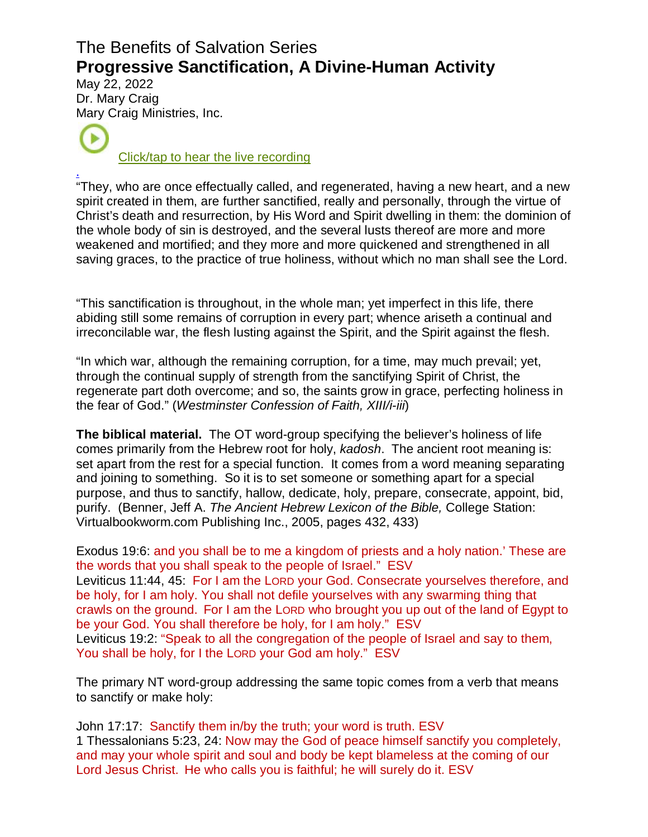# The Benefits of Salvation Series **Progressive Sanctification, A Divine-Human Activity**

May 22, 2022 Dr. Mar[y Cra](https://www.podbean.com/ew/pb-md76x-1232f)ig Mary Craig Ministries, Inc.

[Click/tap to hear the live recording](https://www.podbean.com/ew/pb-md76x-1232ff3)

. "They, who are once effectually called, and regenerated, having a new heart, and a new spirit created in them, are further sanctified, really and personally, through the virtue of Christ's death and resurrection, by His Word and Spirit dwelling in them: the dominion of the whole body of sin is destroyed, and the several lusts thereof are more and more weakened and mortified; and they more and more quickened and strengthened in all saving graces, to the practice of true holiness, without which no man shall see the Lord.

"This sanctification is throughout, in the whole man; yet imperfect in this life, there abiding still some remains of corruption in every part; whence ariseth a continual and irreconcilable war, the flesh lusting against the Spirit, and the Spirit against the flesh.

"In which war, although the remaining corruption, for a time, may much prevail; yet, through the continual supply of strength from the sanctifying Spirit of Christ, the regenerate part doth overcome; and so, the saints grow in grace, perfecting holiness in the fear of God." (Westminster Confession of Faith, XIII/i-iii)

**The biblical material.** The OT word-group specifying the believer's holiness of life comes primarily from the Hebrew root for holy, kadosh. The ancient root meaning is: set apart from the rest for a special function. It comes from a word meaning separating and joining to something. So it is to set someone or something apart for a special purpose, and thus to sanctify, hallow, dedicate, holy, prepare, consecrate, appoint, bid, purify. (Benner, Jeff A. The Ancient Hebrew Lexicon of the Bible, College Station: Virtualbookworm.com Publishing Inc., 2005, pages 432, 433)

Exodus 19:6: and you shall be to me a kingdom of priests and a holy nation.' These are the words that you shall speak to the people of Israel." ESV Leviticus 11:44, 45: For I am the LORD your God. Consecrate yourselves therefore, and be holy, for I am holy. You shall not defile yourselves with any swarming thing that crawls on the ground. For I am the LORD who brought you up out of the land of Egypt to be your God. You shall therefore be holy, for I am holy." ESV Leviticus 19:2: "Speak to all the congregation of the people of Israel and say to them, You shall be holy, for I the LORD your God am holy." ESV

The primary NT word-group addressing the same topic comes from a verb that means to sanctify or make holy:

John 17:17: Sanctify them in/by the truth; your word is truth. ESV 1 Thessalonians 5:23, 24: Now may the God of peace himself sanctify you completely, and may your whole spirit and soul and body be kept blameless at the coming of our Lord Jesus Christ. He who calls you is faithful; he will surely do it. ESV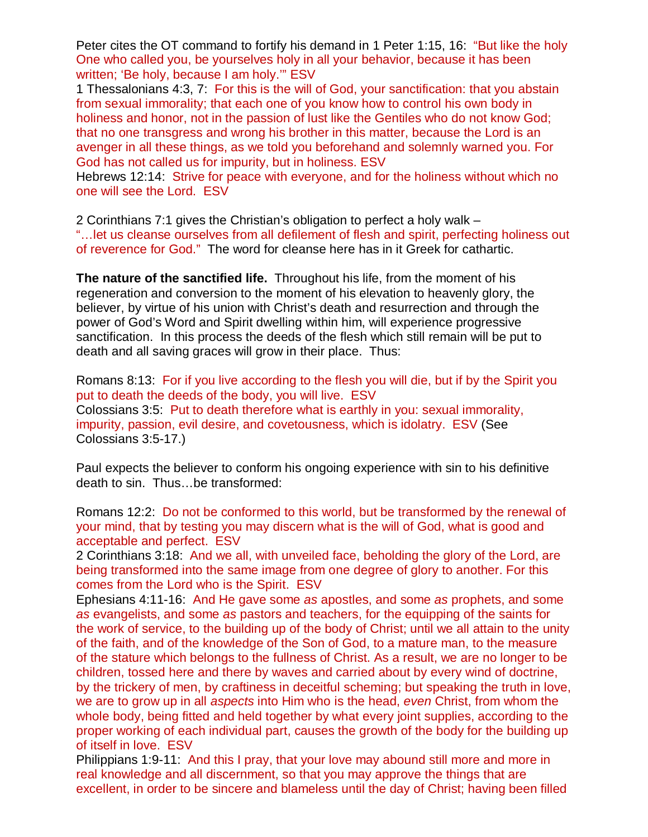Peter cites the OT command to fortify his demand in 1 Peter 1:15, 16: "But like the holy One who called you, be yourselves holy in all your behavior, because it has been written; 'Be holy, because I am holy.'" ESV

1 Thessalonians 4:3, 7: For this is the will of God, your sanctification: that you abstain from sexual immorality; that each one of you know how to control his own body in holiness and honor, not in the passion of lust like the Gentiles who do not know God; that no one transgress and wrong his brother in this matter, because the Lord is an avenger in all these things, as we told you beforehand and solemnly warned you. For God has not called us for impurity, but in holiness. ESV

Hebrews 12:14: Strive for peace with everyone, and for the holiness without which no one will see the Lord. ESV

2 Corinthians 7:1 gives the Christian's obligation to perfect a holy walk –

"…let us cleanse ourselves from all defilement of flesh and spirit, perfecting holiness out of reverence for God." The word for cleanse here has in it Greek for cathartic.

**The nature of the sanctified life.** Throughout his life, from the moment of his regeneration and conversion to the moment of his elevation to heavenly glory, the believer, by virtue of his union with Christ's death and resurrection and through the power of God's Word and Spirit dwelling within him, will experience progressive sanctification. In this process the deeds of the flesh which still remain will be put to death and all saving graces will grow in their place. Thus:

Romans 8:13: For if you live according to the flesh you will die, but if by the Spirit you put to death the deeds of the body, you will live. ESV Colossians 3:5: Put to death therefore what is earthly in you: sexual immorality, impurity, passion, evil desire, and covetousness, which is idolatry. ESV (See Colossians 3:5-17.)

Paul expects the believer to conform his ongoing experience with sin to his definitive death to sin. Thus…be transformed:

Romans 12:2: Do not be conformed to this world, but be transformed by the renewal of your mind, that by testing you may discern what is the will of God, what is good and acceptable and perfect. ESV

2 Corinthians 3:18: And we all, with unveiled face, beholding the glory of the Lord, are being transformed into the same image from one degree of glory to another. For this comes from the Lord who is the Spirit. ESV

Ephesians 4:11-16: And He gave some as apostles, and some as prophets, and some as evangelists, and some as pastors and teachers, for the equipping of the saints for the work of service, to the building up of the body of Christ; until we all attain to the unity of the faith, and of the knowledge of the Son of God, to a mature man, to the measure of the stature which belongs to the fullness of Christ. As a result, we are no longer to be children, tossed here and there by waves and carried about by every wind of doctrine, by the trickery of men, by craftiness in deceitful scheming; but speaking the truth in love, we are to grow up in all aspects into Him who is the head, even Christ, from whom the whole body, being fitted and held together by what every joint supplies, according to the proper working of each individual part, causes the growth of the body for the building up of itself in love. ESV

Philippians 1:9-11: And this I pray, that your love may abound still more and more in real knowledge and all discernment, so that you may approve the things that are excellent, in order to be sincere and blameless until the day of Christ; having been filled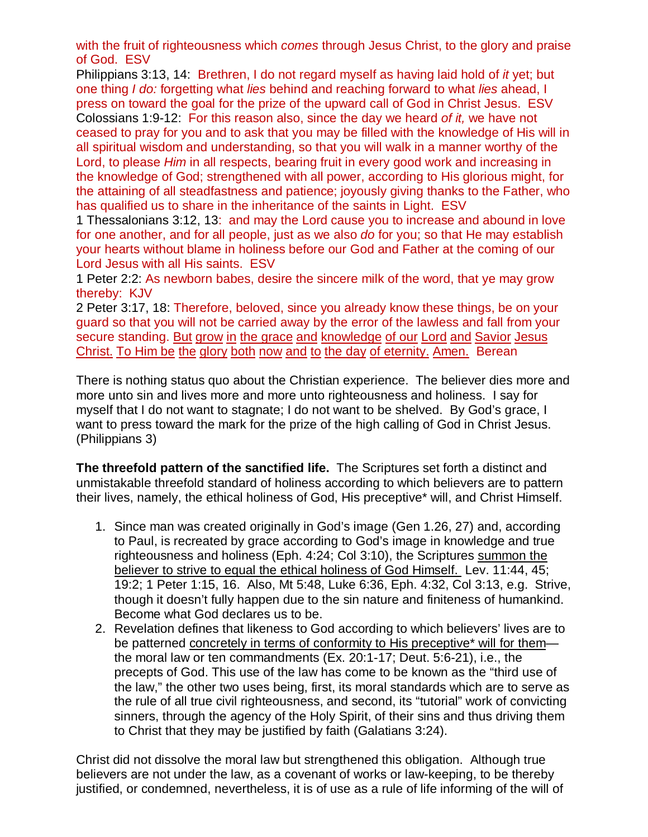with the fruit of righteousness which *comes* through Jesus Christ, to the glory and praise of God. ESV

Philippians 3:13, 14: Brethren, I do not regard myself as having laid hold of it yet; but one thing I do: forgetting what lies behind and reaching forward to what lies ahead, I press on toward the goal for the prize of the upward call of God in Christ Jesus. ESV Colossians 1:9-12: For this reason also, since the day we heard of it, we have not ceased to pray for you and to ask that you may be filled with the knowledge of His will in all spiritual wisdom and understanding, so that you will walk in a manner worthy of the Lord, to please Him in all respects, bearing fruit in every good work and increasing in the knowledge of God; strengthened with all power, according to His glorious might, for the attaining of all steadfastness and patience; joyously giving thanks to the Father, who has qualified us to share in the inheritance of the saints in Light. ESV

1 Thessalonians 3:12, 13: and may the Lord cause you to increase and abound in love for one another, and for all people, just as we also do for you; so that He may establish your hearts without blame in holiness before our God and Father at the coming of our Lord Jesus with all His saints. ESV

1 Peter 2:2: As newborn babes, desire the sincere milk of the word, that ye may grow thereby: KJV

2 Peter 3:17, 18: Therefore, beloved, since you already know these things, be on your guard so that you will not be carried away by the error of the lawless and fall from your secure standing. [But](https://biblehub.com/greek/1161.htm) [grow](https://biblehub.com/greek/837.htm) [in](https://biblehub.com/greek/1722.htm) [the grace](https://biblehub.com/greek/5485.htm) [and](https://biblehub.com/greek/2532.htm) [knowledge](https://biblehub.com/greek/1108.htm) [of our](https://biblehub.com/greek/1473.htm) [Lord](https://biblehub.com/greek/2962.htm) [and](https://biblehub.com/greek/2532.htm) [Savior](https://biblehub.com/greek/4990.htm) [Jesus](https://biblehub.com/greek/2424.htm) [Christ. To Him be the glory both now and to the day of eternity. Amen. Berean](https://biblehub.com/greek/5547.htm) 

There is nothing status quo about the Christian experience. The believer dies more and more unto sin and lives more and more unto righteousness and holiness. I say for myself that I do not want to stagnate; I do not want to be shelved. By God's grace, I want to press toward the mark for the prize of the high calling of God in Christ Jesus. (Philippians 3)

**The threefold pattern of the sanctified life.** The Scriptures set forth a distinct and unmistakable threefold standard of holiness according to which believers are to pattern their lives, namely, the ethical holiness of God, His preceptive\* will, and Christ Himself.

- 1. Since man was created originally in God's image (Gen 1.26, 27) and, according to Paul, is recreated by grace according to God's image in knowledge and true righteousness and holiness (Eph. 4:24; Col 3:10), the Scriptures summon the believer to strive to equal the ethical holiness of God Himself. Lev. 11:44, 45; 19:2; 1 Peter 1:15, 16. Also, Mt 5:48, Luke 6:36, Eph. 4:32, Col 3:13, e.g. Strive, though it doesn't fully happen due to the sin nature and finiteness of humankind. Become what God declares us to be.
- 2. Revelation defines that likeness to God according to which believers' lives are to be patterned concretely in terms of conformity to His preceptive\* will for them the moral law or ten commandments (Ex. 20:1-17; Deut. 5:6-21), i.e., the precepts of God. This use of the law has come to be known as the "third use of the law," the other two uses being, first, its moral standards which are to serve as the rule of all true civil righteousness, and second, its "tutorial" work of convicting sinners, through the agency of the Holy Spirit, of their sins and thus driving them to Christ that they may be justified by faith (Galatians 3:24).

Christ did not dissolve the moral law but strengthened this obligation. Although true believers are not under the law, as a covenant of works or law-keeping, to be thereby justified, or condemned, nevertheless, it is of use as a rule of life informing of the will of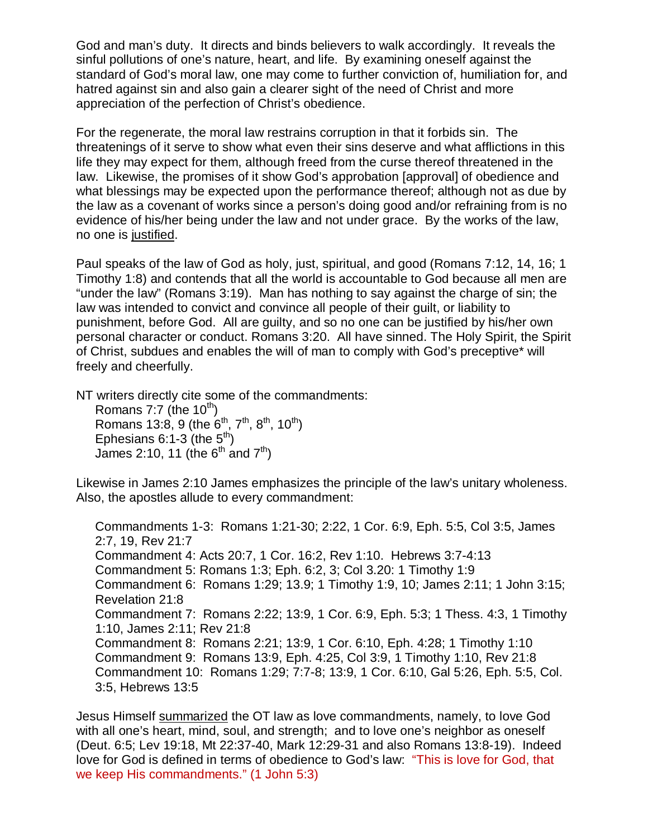God and man's duty. It directs and binds believers to walk accordingly. It reveals the sinful pollutions of one's nature, heart, and life. By examining oneself against the standard of God's moral law, one may come to further conviction of, humiliation for, and hatred against sin and also gain a clearer sight of the need of Christ and more appreciation of the perfection of Christ's obedience.

For the regenerate, the moral law restrains corruption in that it forbids sin. The threatenings of it serve to show what even their sins deserve and what afflictions in this life they may expect for them, although freed from the curse thereof threatened in the law. Likewise, the promises of it show God's approbation [approval] of obedience and what blessings may be expected upon the performance thereof; although not as due by the law as a covenant of works since a person's doing good and/or refraining from is no evidence of his/her being under the law and not under grace. By the works of the law, no one is justified.

Paul speaks of the law of God as holy, just, spiritual, and good (Romans 7:12, 14, 16; 1 Timothy 1:8) and contends that all the world is accountable to God because all men are "under the law" (Romans 3:19). Man has nothing to say against the charge of sin; the law was intended to convict and convince all people of their guilt, or liability to punishment, before God. All are guilty, and so no one can be justified by his/her own personal character or conduct. Romans 3:20. All have sinned. The Holy Spirit, the Spirit of Christ, subdues and enables the will of man to comply with God's preceptive\* will freely and cheerfully.

NT writers directly cite some of the commandments:

Romans  $7:7$  (the  $10^{th}$ ) Romans 13:8, 9 (the  $6^{th}$ ,  $7^{th}$ ,  $8^{th}$ ,  $10^{th}$ ) Ephesians 6:1-3 (the  $5<sup>th</sup>$ ) James 2:10, 11 (the  $6<sup>th</sup>$  and  $7<sup>th</sup>$ )

Likewise in James 2:10 James emphasizes the principle of the law's unitary wholeness. Also, the apostles allude to every commandment:

Commandments 1-3: Romans 1:21-30; 2:22, 1 Cor. 6:9, Eph. 5:5, Col 3:5, James 2:7, 19, Rev 21:7 Commandment 4: Acts 20:7, 1 Cor. 16:2, Rev 1:10. Hebrews 3:7-4:13 Commandment 5: Romans 1:3; Eph. 6:2, 3; Col 3.20: 1 Timothy 1:9 Commandment 6: Romans 1:29; 13.9; 1 Timothy 1:9, 10; James 2:11; 1 John 3:15; Revelation 21:8 Commandment 7: Romans 2:22; 13:9, 1 Cor. 6:9, Eph. 5:3; 1 Thess. 4:3, 1 Timothy 1:10, James 2:11; Rev 21:8 Commandment 8: Romans 2:21; 13:9, 1 Cor. 6:10, Eph. 4:28; 1 Timothy 1:10 Commandment 9: Romans 13:9, Eph. 4:25, Col 3:9, 1 Timothy 1:10, Rev 21:8 Commandment 10: Romans 1:29; 7:7-8; 13:9, 1 Cor. 6:10, Gal 5:26, Eph. 5:5, Col. 3:5, Hebrews 13:5

Jesus Himself summarized the OT law as love commandments, namely, to love God with all one's heart, mind, soul, and strength; and to love one's neighbor as oneself (Deut. 6:5; Lev 19:18, Mt 22:37-40, Mark 12:29-31 and also Romans 13:8-19). Indeed love for God is defined in terms of obedience to God's law: "This is love for God, that we keep His commandments." (1 John 5:3)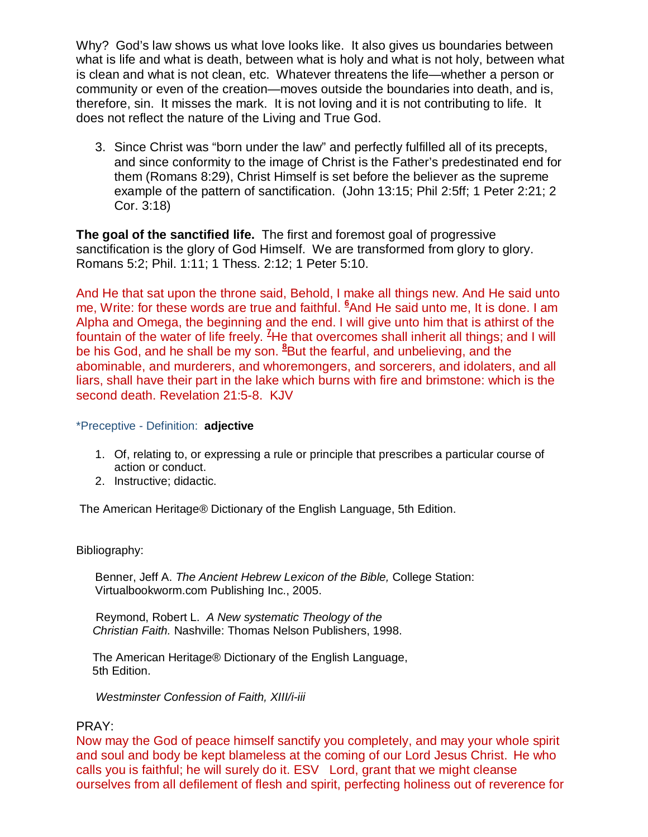Why? God's law shows us what love looks like. It also gives us boundaries between what is life and what is death, between what is holy and what is not holy, between what is clean and what is not clean, etc. Whatever threatens the life—whether a person or community or even of the creation—moves outside the boundaries into death, and is, therefore, sin. It misses the mark. It is not loving and it is not contributing to life. It does not reflect the nature of the Living and True God.

3. Since Christ was "born under the law" and perfectly fulfilled all of its precepts, and since conformity to the image of Christ is the Father's predestinated end for them (Romans 8:29), Christ Himself is set before the believer as the supreme example of the pattern of sanctification. (John 13:15; Phil 2:5ff; 1 Peter 2:21; 2 Cor. 3:18)

**The goal of the sanctified life.** The first and foremost goal of progressive sanctification is the glory of God Himself. We are transformed from glory to glory. Romans 5:2; Phil. 1:11; 1 Thess. 2:12; 1 Peter 5:10.

And He that sat upon the throne said, Behold, I make all things new. And He said unto me, Write: for these words are true and faithful. **<sup>6</sup>**And He said unto me, It is done. I am Alpha and Omega, the beginning and the end. I will give unto him that is athirst of the fountain of the water of life freely. **<sup>7</sup>**He that overcomes shall inherit all things; and I will be his God, and he shall be my son. **<sup>8</sup>**But the fearful, and unbelieving, and the abominable, and murderers, and whoremongers, and sorcerers, and idolaters, and all liars, shall have their part in the lake which burns with fire and brimstone: which is the second death. Revelation 21:5-8. KJV

#### \*Preceptive - Definition: **adjective**

- 1. Of, relating to, or expressing a rule or principle that prescribes a particular course of action or conduct.
- 2. Instructive; didactic.

The American Heritage® Dictionary of the English Language, 5th Edition.

#### Bibliography:

Benner, Jeff A. The Ancient Hebrew Lexicon of the Bible, College Station: Virtualbookworm.com Publishing Inc., 2005.

 Reymond, Robert L. A New systematic Theology of the Christian Faith. Nashville: Thomas Nelson Publishers, 1998.

 The American Heritage® Dictionary of the English Language, 5th Edition.

Westminster Confession of Faith, XIII/i-iii

### PRAY:

Now may the God of peace himself sanctify you completely, and may your whole spirit and soul and body be kept blameless at the coming of our Lord Jesus Christ. He who calls you is faithful; he will surely do it. ESV Lord, grant that we might cleanse ourselves from all defilement of flesh and spirit, perfecting holiness out of reverence for